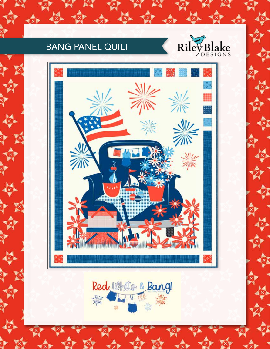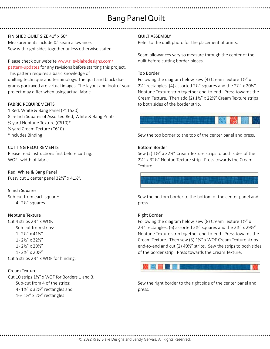# Bang Panel Quilt

# FINISHED QUILT SIZE 41" x 50"

Measurements include ¼" seam allowance. Sew with right sides together unless otherwise stated.

Please check our website www.rileyblakedesigns.com/ pattern-updates for any revisions before starting this project. This pattern requires a basic knowledge of quilting technique and terminology. The quilt and block diagrams portrayed are virtual images. The layout and look of your project may differ when using actual fabric.

# FABRIC REQUIREMENTS

1 Red, White & Bang Panel (P11530) 8 5-Inch Squares of Assorted Red, White & Bang Prints ⅔ yard Neptune Texture (C610)\* ½ yard Cream Texture (C610) \*Includes Binding

# CUTTING REQUIREMENTS

Please read instructions first before cutting. WOF- width of fabric.

Red, White & Bang Panel Fussy cut 1 center panel 32½" x 41½".

# 5 Inch Squares

Sub-cut from each square: 4 - 2½" squares

### Neptune Texture

Cut 4 strips 2½" x WOF. Sub-cut from strips: 1 - 2½" x 41½" 1 - 2½" x 32½" 1 - 2½" x 29½" 1 - 2½" x 20½" Cut 5 strips 2½" x WOF for binding.

### Cream Texture

Cut 10 strips 1½" x WOF for Borders 1 and 3. Sub-cut from 4 of the strips: 4 - 1½" x 32½" rectangles and 16 - 1½" x 2½" rectangles

# QUILT ASSEMBLY

Refer to the quilt photo for the placement of prints.

Seam allowances vary so measure through the center of the quilt before cutting border pieces.

#### Top Border

Following the diagram below, sew (4) Cream Texture 1½" x 2½" rectangles, (4) assorted 2½" squares and the 2½" x 20½" Neptune Texture strip together end-to-end. Press towards the Cream Texture. Then add (2) 1½" x 22½" Cream Texture strips to both sides of the border strip.



Sew the top border to the top of the center panel and press.

#### Bottom Border

Sew (2) 1½" x 32½" Cream Texture strips to both sides of the 2½" x 32½" Neptue Texture strip. Press towards the Cream Texture.

Sew the bottom border to the bottom of the center panel and press.

### Right Border

Following the diagram below, sew (8) Cream Texture 1½" x 2½" rectangles, (6) assorted 2½" squares and the 2½" x 29½" Neptune Texture strip together end-to-end. Press towards the Cream Texture. Then sew (3) 1½" x WOF Cream Texture strips end-to-end and cut (2) 49½" strips. Sew the strips to both sides of the border strip. Press towards the Cream Texture.



Sew the right border to the right side of the center panel and press.